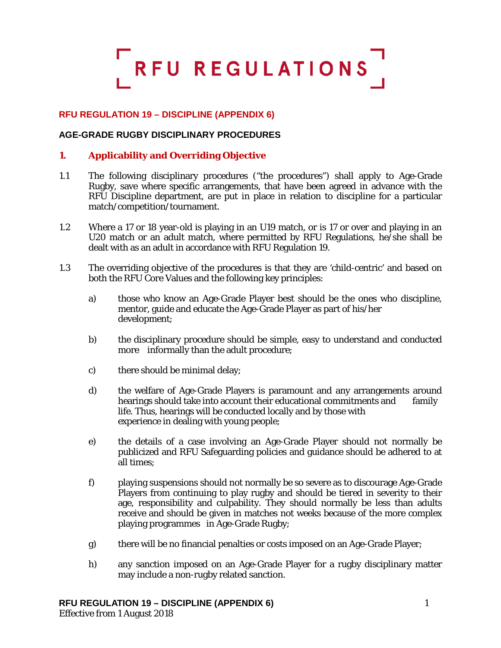# RFU REGULATIONS

# **RFU REGULATION 19 – DISCIPLINE (APPENDIX 6)**

## **AGE-GRADE RUGBY DISCIPLINARY PROCEDURES**

## **1. Applicability and Overriding Objective**

- 1.1 The following disciplinary procedures ("the procedures") shall apply to Age-Grade Rugby, save where specific arrangements, that have been agreed in advance with the RFU Discipline department, are put in place in relation to discipline for a particular match/competition/tournament.
- 1.2 Where a 17 or 18 year-old is playing in an U19 match, or is 17 or over and playing in an U20 match or an adult match, where permitted by RFU Regulations, he/she shall be dealt with as an adult in accordance with RFU Regulation 19.
- 1.3 The overriding objective of the procedures is that they are 'child-centric' and based on both the RFU Core Values and the following key principles:
	- a) those who know an Age-Grade Player best should be the ones who discipline, mentor, guide and educate the Age-Grade Player as part of his/her development;
	- b) the disciplinary procedure should be simple, easy to understand and conducted more informally than the adult procedure;
	- c) there should be minimal delay;
	- d) the welfare of Age-Grade Players is paramount and any arrangements around hearings should take into account their educational commitments and family life. Thus, hearings will be conducted locally and by those with experience in dealing with young people;
	- e) the details of a case involving an Age-Grade Player should not normally be publicized and RFU Safeguarding policies and guidance should be adhered to at all times;
	- f) playing suspensions should not normally be so severe as to discourage Age-Grade Players from continuing to play rugby and should be tiered in severity to their age, responsibility and culpability. They should normally be less than adults receive and should be given in matches not weeks because of the more complex playing programmes in Age-Grade Rugby;
	- g) there will be no financial penalties or costs imposed on an Age-Grade Player;
	- h) any sanction imposed on an Age-Grade Player for a rugby disciplinary matter may include a non-rugby related sanction.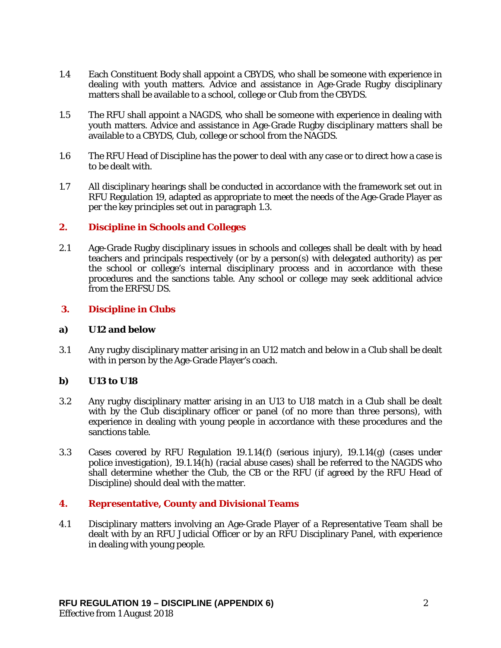- 1.4 Each Constituent Body shall appoint a CBYDS, who shall be someone with experience in dealing with youth matters. Advice and assistance in Age-Grade Rugby disciplinary matters shall be available to a school, college or Club from the CBYDS.
- 1.5 The RFU shall appoint a NAGDS, who shall be someone with experience in dealing with youth matters. Advice and assistance in Age-Grade Rugby disciplinary matters shall be available to a CBYDS, Club, college or school from the NAGDS.
- 1.6 The RFU Head of Discipline has the power to deal with any case or to direct how a case is to be dealt with.
- 1.7 All disciplinary hearings shall be conducted in accordance with the framework set out in RFU Regulation 19, adapted as appropriate to meet the needs of the Age-Grade Player as per the key principles set out in paragraph 1.3.

## **2. Discipline in Schools and Colleges**

2.1 Age-Grade Rugby disciplinary issues in schools and colleges shall be dealt with by head teachers and principals respectively (or by a person(s) with delegated authority) as per the school or college's internal disciplinary process and in accordance with these procedures and the sanctions table. Any school or college may seek additional advice from the ERFSU DS.

#### **3. Discipline in Clubs**

#### **a) U12 and below**

3.1 Any rugby disciplinary matter arising in an U12 match and below in a Club shall be dealt with in person by the Age-Grade Player's coach.

#### **b) U13 to U18**

- 3.2 Any rugby disciplinary matter arising in an U13 to U18 match in a Club shall be dealt with by the Club disciplinary officer or panel (of no more than three persons), with experience in dealing with young people in accordance with these procedures and the sanctions table.
- 3.3 Cases covered by RFU Regulation 19.1.14(f) (serious injury), 19.1.14(g) (cases under police investigation), 19.1.14(h) (racial abuse cases) shall be referred to the NAGDS who shall determine whether the Club, the CB or the RFU (if agreed by the RFU Head of Discipline) should deal with the matter.

## **4. Representative, County and Divisional Teams**

4.1 Disciplinary matters involving an Age-Grade Player of a Representative Team shall be dealt with by an RFU Judicial Officer or by an RFU Disciplinary Panel, with experience in dealing with young people.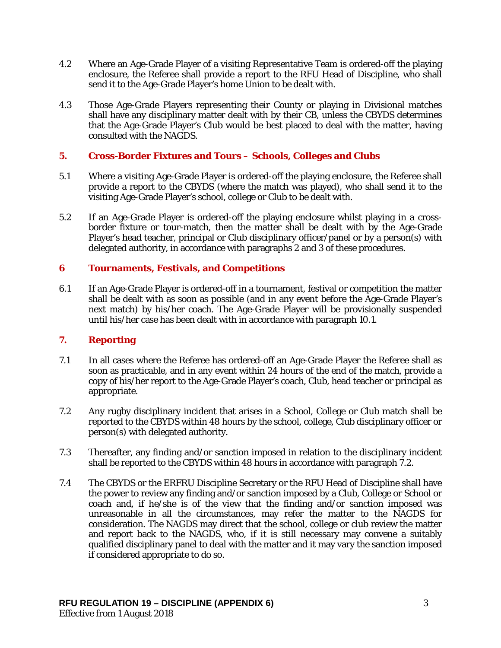- 4.2 Where an Age-Grade Player of a visiting Representative Team is ordered-off the playing enclosure, the Referee shall provide a report to the RFU Head of Discipline, who shall send it to the Age-Grade Player's home Union to be dealt with.
- 4.3 Those Age-Grade Players representing their County or playing in Divisional matches shall have any disciplinary matter dealt with by their CB, unless the CBYDS determines that the Age-Grade Player's Club would be best placed to deal with the matter, having consulted with the NAGDS.

# **5. Cross-Border Fixtures and Tours – Schools, Colleges and Clubs**

- 5.1 Where a visiting Age-Grade Player is ordered-off the playing enclosure, the Referee shall provide a report to the CBYDS (where the match was played), who shall send it to the visiting Age-Grade Player's school, college or Club to be dealt with.
- 5.2 If an Age-Grade Player is ordered-off the playing enclosure whilst playing in a crossborder fixture or tour-match, then the matter shall be dealt with by the Age-Grade Player's head teacher, principal or Club disciplinary officer/panel or by a person(s) with delegated authority, in accordance with paragraphs 2 and 3 of these procedures.

# **6 Tournaments, Festivals, and Competitions**

6.1 If an Age-Grade Player is ordered-off in a tournament, festival or competition the matter shall be dealt with as soon as possible (and in any event before the Age-Grade Player's next match) by his/her coach. The Age-Grade Player will be provisionally suspended until his/her case has been dealt with in accordance with paragraph 10.1.

## **7. Reporting**

- 7.1 In all cases where the Referee has ordered-off an Age-Grade Player the Referee shall as soon as practicable, and in any event within 24 hours of the end of the match, provide a copy of his/her report to the Age-Grade Player's coach, Club, head teacher or principal as appropriate.
- 7.2 Any rugby disciplinary incident that arises in a School, College or Club match shall be reported to the CBYDS within 48 hours by the school, college, Club disciplinary officer or person(s) with delegated authority.
- 7.3 Thereafter, any finding and/or sanction imposed in relation to the disciplinary incident shall be reported to the CBYDS within 48 hours in accordance with paragraph 7.2.
- 7.4 The CBYDS or the ERFRU Discipline Secretary or the RFU Head of Discipline shall have the power to review any finding and/or sanction imposed by a Club, College or School or coach and, if he/she is of the view that the finding and/or sanction imposed was unreasonable in all the circumstances, may refer the matter to the NAGDS for consideration. The NAGDS may direct that the school, college or club review the matter and report back to the NAGDS, who, if it is still necessary may convene a suitably qualified disciplinary panel to deal with the matter and it may vary the sanction imposed if considered appropriate to do so.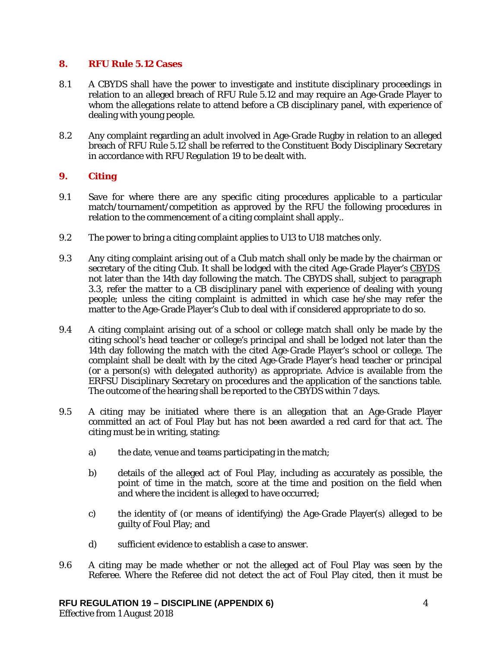### **8. RFU Rule 5.12 Cases**

- 8.1 A CBYDS shall have the power to investigate and institute disciplinary proceedings in relation to an alleged breach of RFU Rule 5.12 and may require an Age-Grade Player to whom the allegations relate to attend before a CB disciplinary panel, with experience of dealing with young people.
- 8.2 Any complaint regarding an adult involved in Age-Grade Rugby in relation to an alleged breach of RFU Rule 5.12 shall be referred to the Constituent Body Disciplinary Secretary in accordance with RFU Regulation 19 to be dealt with.

# **9. Citing**

- 9.1 Save for where there are any specific citing procedures applicable to a particular match/tournament/competition as approved by the RFU the following procedures in relation to the commencement of a citing complaint shall apply..
- 9.2 The power to bring a citing complaint applies to U13 to U18 matches only.
- 9.3 Any citing complaint arising out of a Club match shall only be made by the chairman or secretary of the citing Club. It shall be lodged with the cited Age-Grade Player's CBYDS not later than the 14th day following the match. The CBYDS shall, subject to paragraph 3.3, refer the matter to a CB disciplinary panel with experience of dealing with young people; unless the citing complaint is admitted in which case he/she may refer the matter to the Age-Grade Player's Club to deal with if considered appropriate to do so.
- 9.4 A citing complaint arising out of a school or college match shall only be made by the citing school's head teacher or college's principal and shall be lodged not later than the 14th day following the match with the cited Age-Grade Player's school or college. The complaint shall be dealt with by the cited Age-Grade Player's head teacher or principal (or a person(s) with delegated authority) as appropriate. Advice is available from the ERFSU Disciplinary Secretary on procedures and the application of the sanctions table. The outcome of the hearing shall be reported to the CBYDS within 7 days.
- 9.5 A citing may be initiated where there is an allegation that an Age-Grade Player committed an act of Foul Play but has not been awarded a red card for that act. The citing must be in writing, stating:
	- a) the date, venue and teams participating in the match;
	- b) details of the alleged act of Foul Play, including as accurately as possible, the point of time in the match, score at the time and position on the field when and where the incident is alleged to have occurred;
	- c) the identity of (or means of identifying) the Age-Grade Player(s) alleged to be guilty of Foul Play; and
	- d) sufficient evidence to establish a case to answer.
- 9.6 A citing may be made whether or not the alleged act of Foul Play was seen by the Referee. Where the Referee did not detect the act of Foul Play cited, then it must be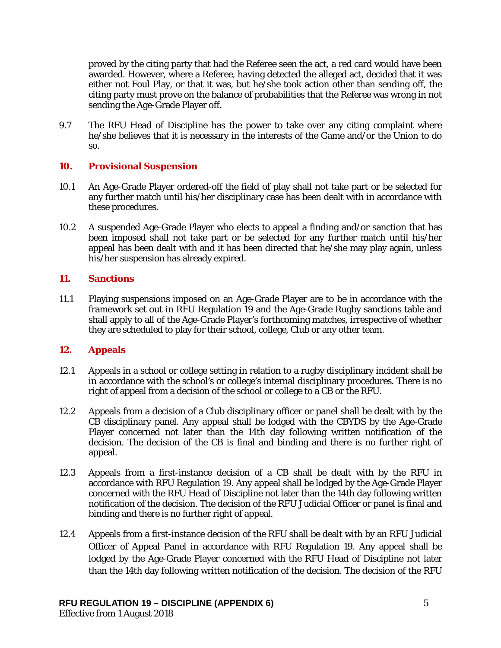proved by the citing party that had the Referee seen the act, a red card would have been awarded. However, where a Referee, having detected the alleged act, decided that it was either not Foul Play, or that it was, but he/she took action other than sending off, the citing party must prove on the balance of probabilities that the Referee was wrong in not sending the Age-Grade Player off.

9.7 The RFU Head of Discipline has the power to take over any citing complaint where he/she believes that it is necessary in the interests of the Game and/or the Union to do so.

## **10. Provisional Suspension**

- 10.1 An Age-Grade Player ordered-off the field of play shall not take part or be selected for any further match until his/her disciplinary case has been dealt with in accordance with these procedures.
- 10.2 A suspended Age-Grade Player who elects to appeal a finding and/or sanction that has been imposed shall not take part or be selected for any further match until his/her appeal has been dealt with and it has been directed that he/she may play again, unless his/her suspension has already expired.

# **11. Sanctions**

11.1 Playing suspensions imposed on an Age-Grade Player are to be in accordance with the framework set out in RFU Regulation 19 and the Age-Grade Rugby sanctions table and shall apply to all of the Age-Grade Player's forthcoming matches, irrespective of whether they are scheduled to play for their school, college, Club or any other team.

# **12. Appeals**

- 12.1 Appeals in a school or college setting in relation to a rugby disciplinary incident shall be in accordance with the school's or college's internal disciplinary procedures. There is no right of appeal from a decision of the school or college to a CB or the RFU.
- 12.2 Appeals from a decision of a Club disciplinary officer or panel shall be dealt with by the CB disciplinary panel. Any appeal shall be lodged with the CBYDS by the Age-Grade Player concerned not later than the 14th day following written notification of the decision. The decision of the CB is final and binding and there is no further right of appeal.
- 12.3 Appeals from a first-instance decision of a CB shall be dealt with by the RFU in accordance with RFU Regulation 19. Any appeal shall be lodged by the Age-Grade Player concerned with the RFU Head of Discipline not later than the 14th day following written notification of the decision. The decision of the RFU Judicial Officer or panel is final and binding and there is no further right of appeal.
- 12.4 Appeals from a first-instance decision of the RFU shall be dealt with by an RFU Judicial Officer of Appeal Panel in accordance with RFU Regulation 19. Any appeal shall be lodged by the Age-Grade Player concerned with the RFU Head of Discipline not later than the 14th day following written notification of the decision. The decision of the RFU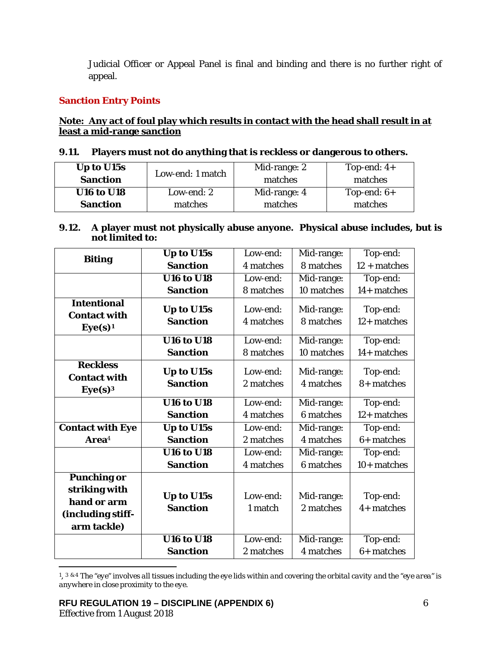Judicial Officer or Appeal Panel is final and binding and there is no further right of appeal.

# **Sanction Entry Points**

# **Note: Any act of foul play which results in contact with the head shall result in at least a mid-range sanction**

|  | 9.11. Players must not do anything that is reckless or dangerous to others. |
|--|-----------------------------------------------------------------------------|
|  |                                                                             |

| Up to U15s<br><b>Sanction</b> | Low-end: 1 match | Mid-range: 2<br>matches | Top-end: $4+$<br>matches |
|-------------------------------|------------------|-------------------------|--------------------------|
| <b>U16 to U18</b>             | Low-end: 2       | Mid-range: 4            | Top-end: $6+$            |
| <b>Sanction</b>               | matches          | matches                 | matches                  |

## **9.12. A player must not physically abuse anyone. Physical abuse includes, but is not limited to:**

|                                                                                        | Up to U15s                    | Low-end:              | Mid-range:              | Top-end:                  |
|----------------------------------------------------------------------------------------|-------------------------------|-----------------------|-------------------------|---------------------------|
| <b>Biting</b>                                                                          | <b>Sanction</b>               | 4 matches             | 8 matches               | $12 + matches$            |
|                                                                                        | <b>U16 to U18</b>             | Low-end:              | Mid-range:              | Top-end:                  |
|                                                                                        | <b>Sanction</b>               | 8 matches             | 10 matches              | 14+ matches               |
| <b>Intentional</b><br><b>Contact with</b><br>Eye(s) <sup>1</sup>                       | Up to U15s<br><b>Sanction</b> | Low-end:<br>4 matches | Mid-range:<br>8 matches | Top-end:<br>$12+$ matches |
|                                                                                        | <b>U16 to U18</b>             | Low-end:              | Mid-range:              | Top-end:                  |
|                                                                                        | <b>Sanction</b>               | 8 matches             | 10 matches              | 14+ matches               |
| <b>Reckless</b><br><b>Contact with</b><br>Eye(s) <sup>3</sup>                          | Up to U15s<br><b>Sanction</b> | Low-end:<br>2 matches | Mid-range:<br>4 matches | Top-end:<br>8+ matches    |
|                                                                                        | <b>U16 to U18</b>             | Low-end:              | Mid-range:              | Top-end:                  |
|                                                                                        | <b>Sanction</b>               | 4 matches             | 6 matches               | $12+$ matches             |
| <b>Contact with Eye</b>                                                                | Up to U15s                    | Low-end:              | Mid-range:              | Top-end:                  |
| Area <sup>4</sup>                                                                      | <b>Sanction</b>               | 2 matches             | 4 matches               | $6+$ matches              |
|                                                                                        | <b>U16 to U18</b>             | Low-end:              | Mid-range:              | Top-end:                  |
|                                                                                        | <b>Sanction</b>               | 4 matches             | 6 matches               | $10+$ matches             |
| <b>Punching or</b><br>striking with<br>hand or arm<br>(including stiff-<br>arm tackle) | Up to U15s<br><b>Sanction</b> | Low-end:<br>1 match   | Mid-range:<br>2 matches | Top-end:<br>$4+$ matches  |
|                                                                                        | <b>U16 to U18</b>             | Low-end:              | Mid-range:              | Top-end:                  |
|                                                                                        | <b>Sanction</b>               | 2 matches             | 4 matches               | $6+$ matches              |

<span id="page-5-0"></span> $\overline{a}$ 1, 3 & 4 *The "eye" involves all tissues including the eye lids within and covering the orbital cavity and the "eye area" is anywhere in close proximity to the eye.*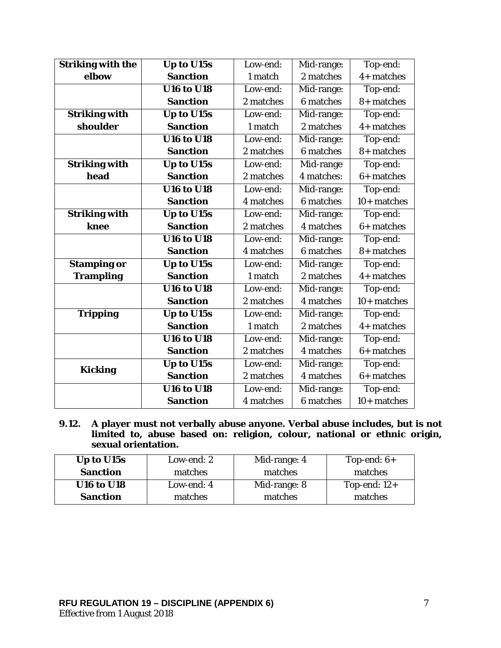| <b>Striking with the</b> | Up to U15s                           | Low-end:  | Mid-range: | Top-end:      |
|--------------------------|--------------------------------------|-----------|------------|---------------|
| elbow                    | <b>Sanction</b>                      | 1 match   | 2 matches  | $4+$ matches  |
|                          | $\overline{U16}$ to $\overline{U18}$ | Low-end:  | Mid-range: | Top-end:      |
|                          | <b>Sanction</b>                      | 2 matches | 6 matches  | 8+ matches    |
| <b>Striking with</b>     | Up to U15s                           | Low-end:  | Mid-range: | Top-end:      |
| shoulder                 | <b>Sanction</b>                      | 1 match   | 2 matches  | $4+$ matches  |
|                          | <b>U16 to U18</b>                    | Low-end:  | Mid-range: | Top-end:      |
|                          | <b>Sanction</b>                      | 2 matches | 6 matches  | 8+ matches    |
| <b>Striking with</b>     | Up to U15s                           | Low-end:  | Mid-range  | Top-end:      |
| head                     | <b>Sanction</b>                      | 2 matches | 4 matches: | $6+$ matches  |
|                          | <b>U16 to U18</b>                    | Low-end:  | Mid-range: | Top-end:      |
|                          | <b>Sanction</b>                      | 4 matches | 6 matches  | $10+$ matches |
| <b>Striking with</b>     | Up to U15s                           | Low-end:  | Mid-range: | Top-end:      |
| knee                     | <b>Sanction</b>                      | 2 matches | 4 matches  | $6+$ matches  |
|                          | <b>U16 to U18</b>                    | Low-end:  | Mid-range: | Top-end:      |
|                          | <b>Sanction</b>                      | 4 matches | 6 matches  | 8+ matches    |
| <b>Stamping or</b>       | Up to U15s                           | Low-end:  | Mid-range: | Top-end:      |
| <b>Trampling</b>         | <b>Sanction</b>                      | 1 match   | 2 matches  | $4+$ matches  |
|                          | <b>U16 to U18</b>                    | Low-end:  | Mid-range: | Top-end:      |
|                          | <b>Sanction</b>                      | 2 matches | 4 matches  | $10+$ matches |
| <b>Tripping</b>          | Up to U15s                           | Low-end:  | Mid-range: | Top-end:      |
|                          | <b>Sanction</b>                      | 1 match   | 2 matches  | $4+$ matches  |
|                          | <b>U16 to U18</b>                    | Low-end:  | Mid-range: | Top-end:      |
|                          | <b>Sanction</b>                      | 2 matches | 4 matches  | $6+$ matches  |
| <b>Kicking</b>           | Up to U15s                           | Low-end:  | Mid-range: | Top-end:      |
|                          | <b>Sanction</b>                      | 2 matches | 4 matches  | $6+$ matches  |
|                          | <b>U16 to U18</b>                    | Low-end:  | Mid-range: | Top-end:      |
|                          | <b>Sanction</b>                      | 4 matches | 6 matches  | $10+$ matches |

**9.12. A player must not verbally abuse anyone. Verbal abuse includes, but is not limited to, abuse based on: religion, colour, national or ethnic origin, sexual orientation.**

| Up to U15s        | Low-end: 2 | Mid-range: 4 | Top-end: $6+$  |
|-------------------|------------|--------------|----------------|
| <b>Sanction</b>   | matches    | matches      | matches        |
| <b>U16 to U18</b> | Low-end: 4 | Mid-range: 8 | Top-end: $12+$ |
| <b>Sanction</b>   | matches    | matches      | matches        |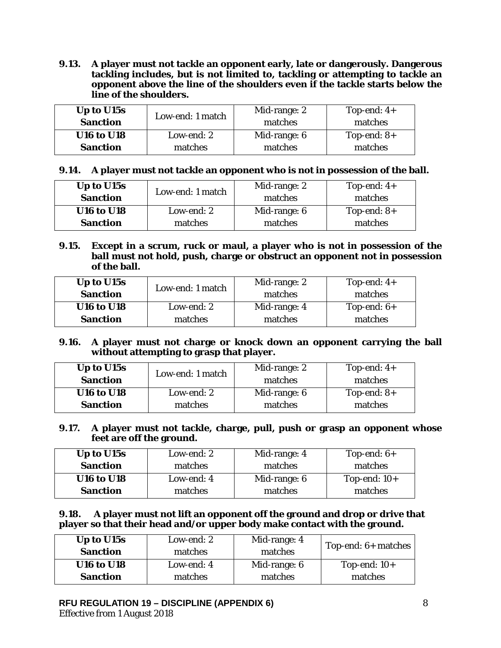**9.13. A player must not tackle an opponent early, late or dangerously. Dangerous tackling includes, but is not limited to, tackling or attempting to tackle an opponent above the line of the shoulders even if the tackle starts below the line of the shoulders.**

| Up to U15s<br><b>Sanction</b> | Low-end: 1 match | Mid-range: 2<br>matches | Top-end: $4+$<br>matches |
|-------------------------------|------------------|-------------------------|--------------------------|
| <b>U16 to U18</b>             | Low-end: 2       | Mid-range: 6            | Top-end: $8+$            |
| <b>Sanction</b>               | matches          | matches                 | matches                  |

|  |  |  |  | 9.14. A player must not tackle an opponent who is not in possession of the ball. |
|--|--|--|--|----------------------------------------------------------------------------------|
|--|--|--|--|----------------------------------------------------------------------------------|

| Up to U15s        | Low-end: 1 match | Mid-range: 2 | Top-end: $4+$ |
|-------------------|------------------|--------------|---------------|
| <b>Sanction</b>   |                  | matches      | matches       |
| <b>U16 to U18</b> | Low-end: 2       | Mid-range: 6 | Top-end: $8+$ |
| <b>Sanction</b>   | matches          | matches      | matches       |
|                   |                  |              |               |

**9.15. Except in a scrum, ruck or maul, a player who is not in possession of the ball must not hold, push, charge or obstruct an opponent not in possession of the ball.** 

| Up to U15s<br><b>Sanction</b> | Low-end: 1 match | Mid-range: 2<br>matches | Top-end: $4+$<br>matches |
|-------------------------------|------------------|-------------------------|--------------------------|
| <b>U16 to U18</b>             | Low-end: 2       | Mid-range: 4            | Top-end: $6+$            |
| <b>Sanction</b>               | matches          | matches                 | matches                  |

## **9.16. A player must not charge or knock down an opponent carrying the ball without attempting to grasp that player.**

| Up to U15s        | Low-end: 1 match | Mid-range: 2 | Top-end: $4+$ |
|-------------------|------------------|--------------|---------------|
| <b>Sanction</b>   |                  | matches      | matches       |
| <b>U16 to U18</b> | Low-end: 2       | Mid-range: 6 | Top-end: $8+$ |
| <b>Sanction</b>   | matches          | matches      | matches       |

**9.17. A player must not tackle, charge, pull, push or grasp an opponent whose feet are off the ground.** 

| Up to U15s        | Low-end: 2 | Mid-range: 4 | Top-end: $6+$  |
|-------------------|------------|--------------|----------------|
| <b>Sanction</b>   | matches    | matches      | matches        |
| <b>U16 to U18</b> | Low-end: 4 | Mid-range: 6 | Top-end: $10+$ |
| <b>Sanction</b>   | matches    | matches      | matches        |

#### **9.18. A player must not lift an opponent off the ground and drop or drive that player so that their head and/or upper body make contact with the ground.**

| Up to U15s        | Low-end: 2 | Mid-range: 4 |                       |  |
|-------------------|------------|--------------|-----------------------|--|
| <b>Sanction</b>   | matches    | matches      | Top-end: $6+$ matches |  |
| <b>U16 to U18</b> | Low-end: 4 | Mid-range: 6 | Top-end: $10+$        |  |
| <b>Sanction</b>   | matches    | matches      | matches               |  |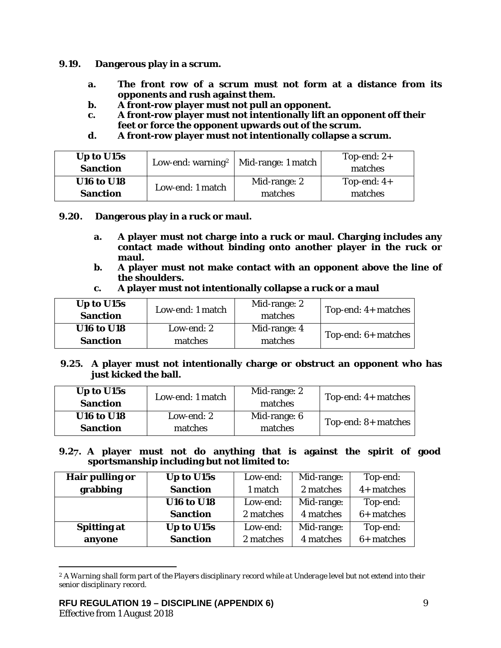- **9.19. Dangerous play in a scrum.** 
	- **a. The front row of a scrum must not form at a distance from its opponents and rush against them.**
	- **b. A front-row player must not pull an opponent.**
	- **c. A front-row player must not intentionally lift an opponent off their feet or force the opponent upwards out of the scrum.**
	- **d. A front-row player must not intentionally collapse a scrum.**

| Up to U15s        |                  | Low-end: warning <sup>2</sup>   Mid-range: 1 match | Top-end: $2+$ |
|-------------------|------------------|----------------------------------------------------|---------------|
| <b>Sanction</b>   |                  |                                                    | matches       |
| <b>U16 to U18</b> | Low-end: 1 match | Mid-range: 2                                       | Top-end: $4+$ |
| <b>Sanction</b>   |                  | matches                                            | matches       |

- **9.20. Dangerous play in a ruck or maul.** 
	- **a. A player must not charge into a ruck or maul. Charging includes any contact made without binding onto another player in the ruck or maul.**
	- **b. A player must not make contact with an opponent above the line of the shoulders.**
	- **c. A player must not intentionally collapse a ruck or a maul**

| Up to U15s<br><b>Sanction</b> | Low-end: 1 match | Mid-range: 2<br>matches | Top-end: $4+$ matches |
|-------------------------------|------------------|-------------------------|-----------------------|
| <b>U16 to U18</b>             | Low-end: 2       | Mid-range: 4            | Top-end: $6+$ matches |
| <b>Sanction</b>               | matches          | matches                 |                       |

**9.25. A player must not intentionally charge or obstruct an opponent who has just kicked the ball.**

| Up to U15s<br><b>Sanction</b> | Low-end: 1 match | Mid-range: 2<br>matches | Top-end: $4+$ matches |
|-------------------------------|------------------|-------------------------|-----------------------|
| <b>U16 to U18</b>             | Low-end: 2       | Mid-range: 6            | Top-end: $8+$ matches |
| <b>Sanction</b>               | matches          | matches                 |                       |

#### **9.27. A player must not do anything that is against the spirit of good sportsmanship including but not limited to:**

| Hair pulling or    | Up to U15s        | Low-end:  | Mid-range: | Top-end:     |
|--------------------|-------------------|-----------|------------|--------------|
| grabbing           | <b>Sanction</b>   | 1 match   | 2 matches  | 4+ matches   |
|                    | <b>U16 to U18</b> | Low-end:  | Mid-range: | Top-end:     |
|                    | <b>Sanction</b>   | 2 matches | 4 matches  | $6+$ matches |
| <b>Spitting at</b> | Up to U15s        | Low-end:  | Mid-range: | Top-end:     |
| anyone             | <b>Sanction</b>   | 2 matches | 4 matches  | $6+$ matches |

<span id="page-8-0"></span><sup>2</sup> *A Warning shall form part of the Players disciplinary record while at Underage level but not extend into their senior disciplinary record.*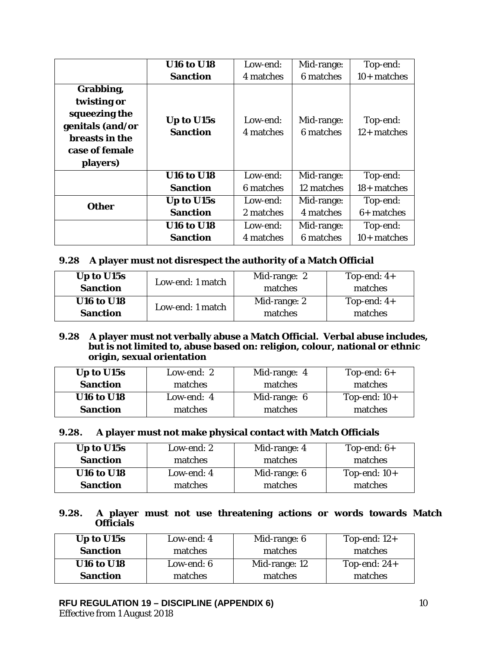|                                                                                                                      | <b>U16 to U18</b>             | Low-end:              | Mid-range:              | Top-end:                  |
|----------------------------------------------------------------------------------------------------------------------|-------------------------------|-----------------------|-------------------------|---------------------------|
|                                                                                                                      | <b>Sanction</b>               | 4 matches             | 6 matches               | $10+$ matches             |
| Grabbing,<br>twisting or<br>squeezing the<br>genitals (and/or<br><b>breasts in the</b><br>case of female<br>players) | Up to U15s<br><b>Sanction</b> | Low-end:<br>4 matches | Mid-range:<br>6 matches | Top-end:<br>$12+$ matches |
|                                                                                                                      | <b>U16 to U18</b>             | Low-end:              | Mid-range:              | Top-end:                  |
|                                                                                                                      | <b>Sanction</b>               | 6 matches             | 12 matches              | $18+$ matches             |
| <b>Other</b>                                                                                                         | Up to U15s                    | Low-end:              | Mid-range:              | Top-end:                  |
|                                                                                                                      | <b>Sanction</b>               | 2 matches             | 4 matches               | $6+$ matches              |
|                                                                                                                      | <b>U16 to U18</b>             | Low-end:              | Mid-range:              | Top-end:                  |
|                                                                                                                      | <b>Sanction</b>               | 4 matches             | 6 matches               | $10+$ matches             |

# **9.28 A player must not disrespect the authority of a Match Official**

| Up to U15s        | Low-end: 1 match | Mid-range: 2 | Top-end: $4+$ |
|-------------------|------------------|--------------|---------------|
| <b>Sanction</b>   |                  | matches      | matches       |
| <b>U16 to U18</b> | Low-end: 1 match | Mid-range: 2 | Top-end: $4+$ |
| <b>Sanction</b>   |                  | matches      | matches       |

### **9.28 A player must not verbally abuse a Match Official. Verbal abuse includes, but is not limited to, abuse based on: religion, colour, national or ethnic origin, sexual orientation**

| Up to U15s        | Low-end: 2 | Mid-range: 4 | Top-end: $6+$  |
|-------------------|------------|--------------|----------------|
| <b>Sanction</b>   | matches    | matches      | matches        |
| <b>U16 to U18</b> | Low-end: 4 | Mid-range: 6 | Top-end: $10+$ |
| <b>Sanction</b>   | matches    | matches      | matches        |

### **9.28. A player must not make physical contact with Match Officials**

| Up to U15s        | Low-end: 2 | Mid-range: 4 | Top-end: $6+$  |
|-------------------|------------|--------------|----------------|
| <b>Sanction</b>   | matches    | matches      | matches        |
| <b>U16 to U18</b> | Low-end: 4 | Mid-range: 6 | Top-end: $10+$ |
| <b>Sanction</b>   | matches    | matches      | matches        |

#### **9.28. A player must not use threatening actions or words towards Match Officials**

| Up to U15s        | Low-end: 4 | Mid-range: 6  | Top-end: $12+$ |
|-------------------|------------|---------------|----------------|
| <b>Sanction</b>   | matches    | matches       | matches        |
| <b>U16 to U18</b> | Low-end: 6 | Mid-range: 12 | Top-end: $24+$ |
| <b>Sanction</b>   | matches    | matches       | matches        |